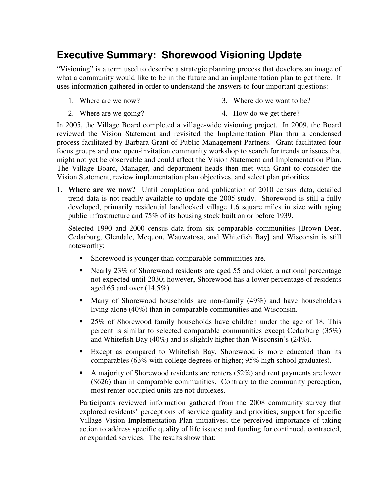## **Executive Summary: Shorewood Visioning Update**

"Visioning" is a term used to describe a strategic planning process that develops an image of what a community would like to be in the future and an implementation plan to get there. It uses information gathered in order to understand the answers to four important questions:

1. Where are we now?

- 3. Where do we want to be?
- 2. Where are we going? 4. How do we get there?

In 2005, the Village Board completed a village-wide visioning project. In 2009, the Board reviewed the Vision Statement and revisited the Implementation Plan thru a condensed process facilitated by Barbara Grant of Public Management Partners. Grant facilitated four focus groups and one open-invitation community workshop to search for trends or issues that might not yet be observable and could affect the Vision Statement and Implementation Plan. The Village Board, Manager, and department heads then met with Grant to consider the Vision Statement, review implementation plan objectives, and select plan priorities.

1. **Where are we now?** Until completion and publication of 2010 census data, detailed trend data is not readily available to update the 2005 study. Shorewood is still a fully developed, primarily residential landlocked village 1.6 square miles in size with aging public infrastructure and 75% of its housing stock built on or before 1939.

Selected 1990 and 2000 census data from six comparable communities [Brown Deer, Cedarburg, Glendale, Mequon, Wauwatosa, and Whitefish Bay] and Wisconsin is still noteworthy:

- **Shorewood is younger than comparable communities are.**
- Nearly 23% of Shorewood residents are aged 55 and older, a national percentage not expected until 2030; however, Shorewood has a lower percentage of residents aged 65 and over  $(14.5\%)$
- Many of Shorewood households are non-family (49%) and have householders living alone (40%) than in comparable communities and Wisconsin.
- 25% of Shorewood family households have children under the age of 18. This percent is similar to selected comparable communities except Cedarburg (35%) and Whitefish Bay (40%) and is slightly higher than Wisconsin's (24%).
- Except as compared to Whitefish Bay, Shorewood is more educated than its comparables (63% with college degrees or higher; 95% high school graduates).
- A majority of Shorewood residents are renters  $(52%)$  and rent payments are lower (\$626) than in comparable communities. Contrary to the community perception, most renter-occupied units are not duplexes.

Participants reviewed information gathered from the 2008 community survey that explored residents' perceptions of service quality and priorities; support for specific Village Vision Implementation Plan initiatives; the perceived importance of taking action to address specific quality of life issues; and funding for continued, contracted, or expanded services. The results show that: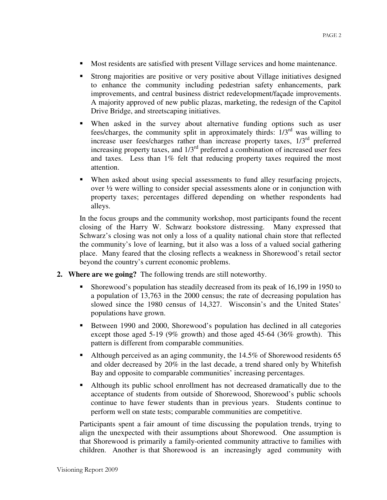- Most residents are satisfied with present Village services and home maintenance.
- Strong majorities are positive or very positive about Village initiatives designed to enhance the community including pedestrian safety enhancements, park improvements, and central business district redevelopment/façade improvements. A majority approved of new public plazas, marketing, the redesign of the Capitol Drive Bridge, and streetscaping initiatives.
- When asked in the survey about alternative funding options such as user fees/charges, the community split in approximately thirds:  $1/3^{rd}$  was willing to increase user fees/charges rather than increase property taxes, 1/3rd preferred increasing property taxes, and  $1/3<sup>rd</sup>$  preferred a combination of increased user fees and taxes. Less than 1% felt that reducing property taxes required the most attention.
- When asked about using special assessments to fund alley resurfacing projects, over  $\frac{1}{2}$  were willing to consider special assessments alone or in conjunction with property taxes; percentages differed depending on whether respondents had alleys.

In the focus groups and the community workshop, most participants found the recent closing of the Harry W. Schwarz bookstore distressing. Many expressed that Schwarz's closing was not only a loss of a quality national chain store that reflected the community's love of learning, but it also was a loss of a valued social gathering place. Many feared that the closing reflects a weakness in Shorewood's retail sector beyond the country's current economic problems.

- **2. Where are we going?** The following trends are still noteworthy.
	- Shorewood's population has steadily decreased from its peak of 16,199 in 1950 to a population of 13,763 in the 2000 census; the rate of decreasing population has slowed since the 1980 census of 14,327. Wisconsin's and the United States' populations have grown.
	- Between 1990 and 2000, Shorewood's population has declined in all categories except those aged 5-19 (9% growth) and those aged 45-64 (36% growth). This pattern is different from comparable communities.
	- Although perceived as an aging community, the 14.5% of Shorewood residents 65 and older decreased by 20% in the last decade, a trend shared only by Whitefish Bay and opposite to comparable communities' increasing percentages.
	- Although its public school enrollment has not decreased dramatically due to the acceptance of students from outside of Shorewood, Shorewood's public schools continue to have fewer students than in previous years. Students continue to perform well on state tests; comparable communities are competitive.

Participants spent a fair amount of time discussing the population trends, trying to align the unexpected with their assumptions about Shorewood. One assumption is that Shorewood is primarily a family-oriented community attractive to families with children. Another is that Shorewood is an increasingly aged community with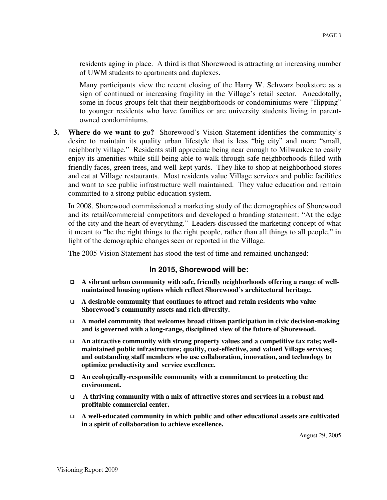residents aging in place. A third is that Shorewood is attracting an increasing number of UWM students to apartments and duplexes.

Many participants view the recent closing of the Harry W. Schwarz bookstore as a sign of continued or increasing fragility in the Village's retail sector. Anecdotally, some in focus groups felt that their neighborhoods or condominiums were "flipping" to younger residents who have families or are university students living in parentowned condominiums.

**3. Where do we want to go?** Shorewood's Vision Statement identifies the community's desire to maintain its quality urban lifestyle that is less "big city" and more "small, neighborly village." Residents still appreciate being near enough to Milwaukee to easily enjoy its amenities while still being able to walk through safe neighborhoods filled with friendly faces, green trees, and well-kept yards. They like to shop at neighborhood stores and eat at Village restaurants. Most residents value Village services and public facilities and want to see public infrastructure well maintained. They value education and remain committed to a strong public education system.

In 2008, Shorewood commissioned a marketing study of the demographics of Shorewood and its retail/commercial competitors and developed a branding statement: "At the edge of the city and the heart of everything." Leaders discussed the marketing concept of what it meant to "be the right things to the right people, rather than all things to all people," in light of the demographic changes seen or reported in the Village.

The 2005 Vision Statement has stood the test of time and remained unchanged:

#### **In 2015, Shorewood will be:**

- □ A vibrant urban community with safe, friendly neighborhoods offering a range of well**maintained housing options which reflect Shorewood's architectural heritage.**
- **A desirable community that continues to attract and retain residents who value Shorewood's community assets and rich diversity.**
- □ A model community that welcomes broad citizen participation in civic decision-making **and is governed with a long-range, disciplined view of the future of Shorewood.**
- □ An attractive community with strong property values and a competitive tax rate; well**maintained public infrastructure; quality, cost-effective, and valued Village services; and outstanding staff members who use collaboration, innovation, and technology to optimize productivity and service excellence.**
- **An ecologically-responsible community with a commitment to protecting the environment.**
- - **A thriving community with a mix of attractive stores and services in a robust and profitable commercial center.**
- **A well-educated community in which public and other educational assets are cultivated in a spirit of collaboration to achieve excellence.**

August 29, 2005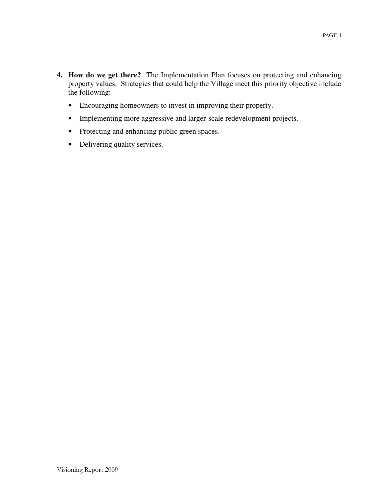- **4. How do we get there?** The Implementation Plan focuses on protecting and enhancing property values. Strategies that could help the Village meet this priority objective include the following:
	- Encouraging homeowners to invest in improving their property.
	- Implementing more aggressive and larger-scale redevelopment projects.
	- Protecting and enhancing public green spaces.
	- Delivering quality services.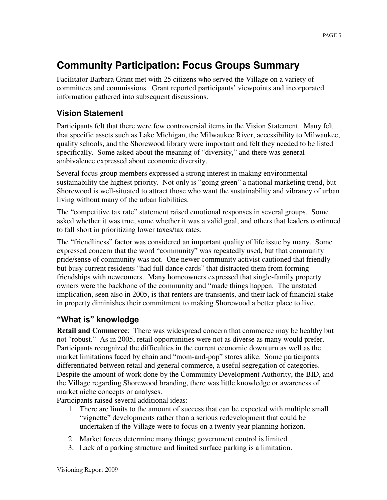# **Community Participation: Focus Groups Summary**

Facilitator Barbara Grant met with 25 citizens who served the Village on a variety of committees and commissions. Grant reported participants' viewpoints and incorporated information gathered into subsequent discussions.

### **Vision Statement**

Participants felt that there were few controversial items in the Vision Statement. Many felt that specific assets such as Lake Michigan, the Milwaukee River, accessibility to Milwaukee, quality schools, and the Shorewood library were important and felt they needed to be listed specifically. Some asked about the meaning of "diversity," and there was general ambivalence expressed about economic diversity.

Several focus group members expressed a strong interest in making environmental sustainability the highest priority. Not only is "going green" a national marketing trend, but Shorewood is well-situated to attract those who want the sustainability and vibrancy of urban living without many of the urban liabilities.

The "competitive tax rate" statement raised emotional responses in several groups. Some asked whether it was true, some whether it was a valid goal, and others that leaders continued to fall short in prioritizing lower taxes/tax rates.

The "friendliness" factor was considered an important quality of life issue by many. Some expressed concern that the word "community" was repeatedly used, but that community pride/sense of community was not. One newer community activist cautioned that friendly but busy current residents "had full dance cards" that distracted them from forming friendships with newcomers. Many homeowners expressed that single-family property owners were the backbone of the community and "made things happen. The unstated implication, seen also in 2005, is that renters are transients, and their lack of financial stake in property diminishes their commitment to making Shorewood a better place to live.

## **"What is" knowledge**

**Retail and Commerce**: There was widespread concern that commerce may be healthy but not "robust." As in 2005, retail opportunities were not as diverse as many would prefer. Participants recognized the difficulties in the current economic downturn as well as the market limitations faced by chain and "mom-and-pop" stores alike. Some participants differentiated between retail and general commerce, a useful segregation of categories. Despite the amount of work done by the Community Development Authority, the BID, and the Village regarding Shorewood branding, there was little knowledge or awareness of market niche concepts or analyses.

Participants raised several additional ideas:

- 1. There are limits to the amount of success that can be expected with multiple small "vignette" developments rather than a serious redevelopment that could be undertaken if the Village were to focus on a twenty year planning horizon.
- 2. Market forces determine many things; government control is limited.
- 3. Lack of a parking structure and limited surface parking is a limitation.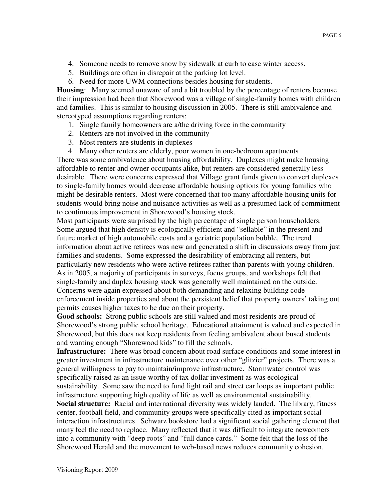- 4. Someone needs to remove snow by sidewalk at curb to ease winter access.
- 5. Buildings are often in disrepair at the parking lot level.
- 6. Need for more UWM connections besides housing for students.

**Housing**: Many seemed unaware of and a bit troubled by the percentage of renters because their impression had been that Shorewood was a village of single-family homes with children and families. This is similar to housing discussion in 2005. There is still ambivalence and stereotyped assumptions regarding renters:

- 1. Single family homeowners are a/the driving force in the community
- 2. Renters are not involved in the community
- 3. Most renters are students in duplexes
- 4. Many other renters are elderly, poor women in one-bedroom apartments

There was some ambivalence about housing affordability. Duplexes might make housing affordable to renter and owner occupants alike, but renters are considered generally less desirable. There were concerns expressed that Village grant funds given to convert duplexes to single-family homes would decrease affordable housing options for young families who might be desirable renters. Most were concerned that too many affordable housing units for students would bring noise and nuisance activities as well as a presumed lack of commitment to continuous improvement in Shorewood's housing stock.

Most participants were surprised by the high percentage of single person householders. Some argued that high density is ecologically efficient and "sellable" in the present and future market of high automobile costs and a geriatric population bubble. The trend information about active retirees was new and generated a shift in discussions away from just families and students. Some expressed the desirability of embracing all renters, but particularly new residents who were active retirees rather than parents with young children. As in 2005, a majority of participants in surveys, focus groups, and workshops felt that single-family and duplex housing stock was generally well maintained on the outside. Concerns were again expressed about both demanding and relaxing building code enforcement inside properties and about the persistent belief that property owners' taking out permits causes higher taxes to be due on their property.

**Good schools:** Strong public schools are still valued and most residents are proud of Shorewood's strong public school heritage. Educational attainment is valued and expected in Shorewood, but this does not keep residents from feeling ambivalent about bused students and wanting enough "Shorewood kids" to fill the schools.

**Infrastructure:** There was broad concern about road surface conditions and some interest in greater investment in infrastructure maintenance over other "glitzier" projects. There was a general willingness to pay to maintain/improve infrastructure. Stormwater control was specifically raised as an issue worthy of tax dollar investment as was ecological sustainability. Some saw the need to fund light rail and street car loops as important public infrastructure supporting high quality of life as well as environmental sustainability. **Social structure:** Racial and international diversity was widely lauded. The library, fitness center, football field, and community groups were specifically cited as important social interaction infrastructures. Schwarz bookstore had a significant social gathering element that many feel the need to replace. Many reflected that it was difficult to integrate newcomers into a community with "deep roots" and "full dance cards." Some felt that the loss of the Shorewood Herald and the movement to web-based news reduces community cohesion.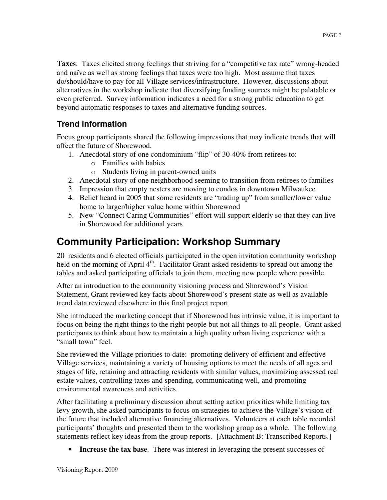**Taxes**: Taxes elicited strong feelings that striving for a "competitive tax rate" wrong-headed and naïve as well as strong feelings that taxes were too high. Most assume that taxes do/should/have to pay for all Village services/infrastructure. However, discussions about alternatives in the workshop indicate that diversifying funding sources might be palatable or even preferred. Survey information indicates a need for a strong public education to get beyond automatic responses to taxes and alternative funding sources.

## **Trend information**

Focus group participants shared the following impressions that may indicate trends that will affect the future of Shorewood.

- 1. Anecdotal story of one condominium "flip" of 30-40% from retirees to:
	- o Families with babies
	- o Students living in parent-owned units
- 2. Anecdotal story of one neighborhood seeming to transition from retirees to families
- 3. Impression that empty nesters are moving to condos in downtown Milwaukee
- 4. Belief heard in 2005 that some residents are "trading up" from smaller/lower value home to larger/higher value home within Shorewood
- 5. New "Connect Caring Communities" effort will support elderly so that they can live in Shorewood for additional years

# **Community Participation: Workshop Summary**

20 residents and 6 elected officials participated in the open invitation community workshop held on the morning of April 4<sup>th</sup>. Facilitator Grant asked residents to spread out among the tables and asked participating officials to join them, meeting new people where possible.

After an introduction to the community visioning process and Shorewood's Vision Statement, Grant reviewed key facts about Shorewood's present state as well as available trend data reviewed elsewhere in this final project report.

She introduced the marketing concept that if Shorewood has intrinsic value, it is important to focus on being the right things to the right people but not all things to all people. Grant asked participants to think about how to maintain a high quality urban living experience with a "small town" feel.

She reviewed the Village priorities to date: promoting delivery of efficient and effective Village services, maintaining a variety of housing options to meet the needs of all ages and stages of life, retaining and attracting residents with similar values, maximizing assessed real estate values, controlling taxes and spending, communicating well, and promoting environmental awareness and activities.

After facilitating a preliminary discussion about setting action priorities while limiting tax levy growth, she asked participants to focus on strategies to achieve the Village's vision of the future that included alternative financing alternatives. Volunteers at each table recorded participants' thoughts and presented them to the workshop group as a whole. The following statements reflect key ideas from the group reports. [Attachment B: Transcribed Reports.]

• **Increase the tax base**. There was interest in leveraging the present successes of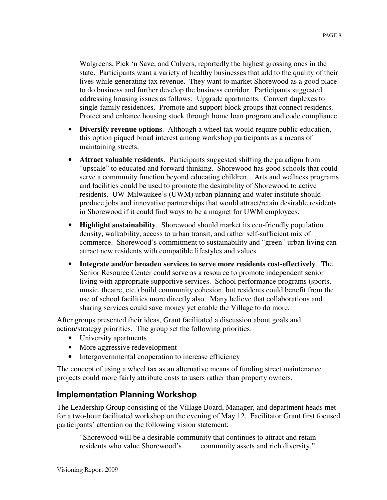Walgreens, Pick 'n Save, and Culvers, reportedly the highest grossing ones in the state. Participants want a variety of healthy businesses that add to the quality of their lives while generating tax revenue. They want to market Shorewood as a good place to do business and further develop the business corridor. Participants suggested addressing housing issues as follows: Upgrade apartments. Convert duplexes to single-family residences. Promote and support block groups that connect residents. Protect and enhance housing stock through home loan program and code compliance.

- **Diversify revenue options**. Although a wheel tax would require public education, this option piqued broad interest among workshop participants as a means of maintaining streets.
- **Attract valuable residents**. Participants suggested shifting the paradigm from "upscale" to educated and forward thinking. Shorewood has good schools that could serve a community function beyond educating children. Arts and wellness programs and facilities could be used to promote the desirability of Shorewood to active residents. UW-Milwaukee's (UWM) urban planning and water institute should produce jobs and innovative partnerships that would attract/retain desirable residents in Shorewood if it could find ways to be a magnet for UWM employees.
- **Highlight sustainability**. Shorewood should market its eco-friendly population density, walkability, access to urban transit, and rather self-sufficient mix of commerce. Shorewood's commitment to sustainability and "green" urban living can attract new residents with compatible lifestyles and values.
- **Integrate and/or broaden services to serve more residents cost-effectively**. The Senior Resource Center could serve as a resource to promote independent senior living with appropriate supportive services. School performance programs (sports, music, theatre, etc.) build community cohesion, but residents could benefit from the use of school facilities more directly also. Many believe that collaborations and sharing services could save money yet enable the Village to do more.

After groups presented their ideas, Grant facilitated a discussion about goals and action/strategy priorities. The group set the following priorities:

- University apartments
- More aggressive redevelopment
- Intergovernmental cooperation to increase efficiency

The concept of using a wheel tax as an alternative means of funding street maintenance projects could more fairly attribute costs to users rather than property owners.

### **Implementation Planning Workshop**

The Leadership Group consisting of the Village Board, Manager, and department heads met for a two-hour facilitated workshop on the evening of May 12. Facilitator Grant first focused participants' attention on the following vision statement:

"Shorewood will be a desirable community that continues to attract and retain residents who value Shorewood's community assets and rich diversity."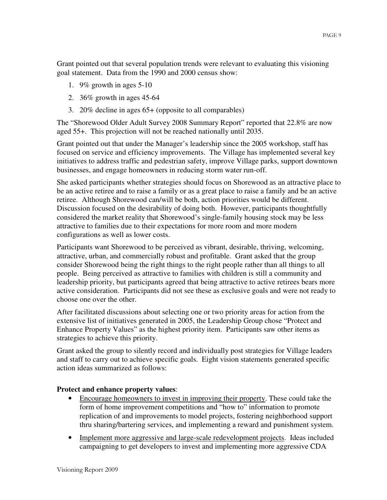Grant pointed out that several population trends were relevant to evaluating this visioning goal statement. Data from the 1990 and 2000 census show:

- 1. 9% growth in ages 5-10
- 2. 36% growth in ages 45-64
- 3. 20% decline in ages 65+ (opposite to all comparables)

The "Shorewood Older Adult Survey 2008 Summary Report" reported that 22.8% are now aged 55+. This projection will not be reached nationally until 2035.

Grant pointed out that under the Manager's leadership since the 2005 workshop, staff has focused on service and efficiency improvements. The Village has implemented several key initiatives to address traffic and pedestrian safety, improve Village parks, support downtown businesses, and engage homeowners in reducing storm water run-off.

She asked participants whether strategies should focus on Shorewood as an attractive place to be an active retiree and to raise a family or as a great place to raise a family and be an active retiree. Although Shorewood can/will be both, action priorities would be different. Discussion focused on the desirability of doing both. However, participants thoughtfully considered the market reality that Shorewood's single-family housing stock may be less attractive to families due to their expectations for more room and more modern configurations as well as lower costs.

Participants want Shorewood to be perceived as vibrant, desirable, thriving, welcoming, attractive, urban, and commercially robust and profitable. Grant asked that the group consider Shorewood being the right things to the right people rather than all things to all people. Being perceived as attractive to families with children is still a community and leadership priority, but participants agreed that being attractive to active retirees bears more active consideration. Participants did not see these as exclusive goals and were not ready to choose one over the other.

After facilitated discussions about selecting one or two priority areas for action from the extensive list of initiatives generated in 2005, the Leadership Group chose "Protect and Enhance Property Values" as the highest priority item. Participants saw other items as strategies to achieve this priority.

Grant asked the group to silently record and individually post strategies for Village leaders and staff to carry out to achieve specific goals. Eight vision statements generated specific action ideas summarized as follows:

#### **Protect and enhance property values**:

- Encourage homeowners to invest in improving their property. These could take the form of home improvement competitions and "how to" information to promote replication of and improvements to model projects, fostering neighborhood support thru sharing/bartering services, and implementing a reward and punishment system.
- Implement more aggressive and large-scale redevelopment projects. Ideas included campaigning to get developers to invest and implementing more aggressive CDA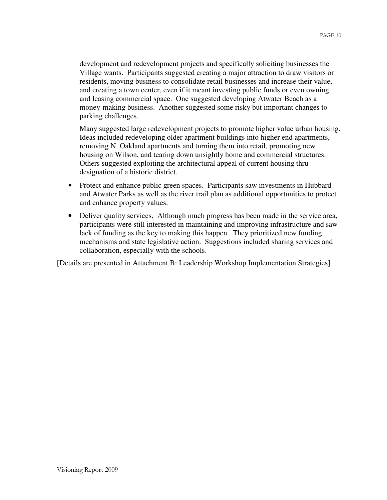development and redevelopment projects and specifically soliciting businesses the Village wants. Participants suggested creating a major attraction to draw visitors or residents, moving business to consolidate retail businesses and increase their value, and creating a town center, even if it meant investing public funds or even owning and leasing commercial space. One suggested developing Atwater Beach as a money-making business. Another suggested some risky but important changes to parking challenges.

Many suggested large redevelopment projects to promote higher value urban housing. Ideas included redeveloping older apartment buildings into higher end apartments, removing N. Oakland apartments and turning them into retail, promoting new housing on Wilson, and tearing down unsightly home and commercial structures. Others suggested exploiting the architectural appeal of current housing thru designation of a historic district.

- Protect and enhance public green spaces. Participants saw investments in Hubbard and Atwater Parks as well as the river trail plan as additional opportunities to protect and enhance property values.
- Deliver quality services. Although much progress has been made in the service area, participants were still interested in maintaining and improving infrastructure and saw lack of funding as the key to making this happen. They prioritized new funding mechanisms and state legislative action. Suggestions included sharing services and collaboration, especially with the schools.

[Details are presented in Attachment B: Leadership Workshop Implementation Strategies]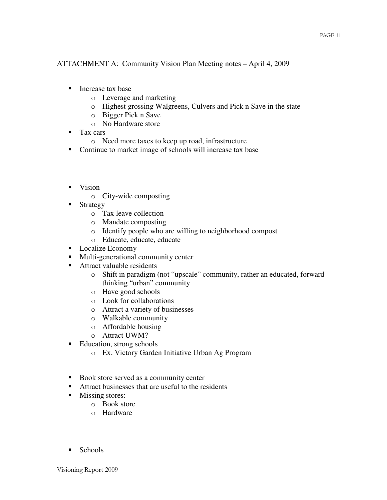ATTACHMENT A: Community Vision Plan Meeting notes – April 4, 2009

- **Increase tax base** 
	- o Leverage and marketing
	- o Highest grossing Walgreens, Culvers and Pick n Save in the state
	- o Bigger Pick n Save
	- o No Hardware store
- **Tax cars** 
	- o Need more taxes to keep up road, infrastructure
- Continue to market image of schools will increase tax base
- **v**ision
	- o City-wide composting
- **Strategy** 
	- o Tax leave collection
	- o Mandate composting
	- o Identify people who are willing to neighborhood compost
	- o Educate, educate, educate
- Localize Economy
- **Multi-generational community center**
- Attract valuable residents
	- o Shift in paradigm (not "upscale" community, rather an educated, forward thinking "urban" community
	- o Have good schools
	- o Look for collaborations
	- o Attract a variety of businesses
	- o Walkable community
	- o Affordable housing
	- o Attract UWM?
- Education, strong schools
	- o Ex. Victory Garden Initiative Urban Ag Program
- Book store served as a community center
- Attract businesses that are useful to the residents
- **Missing stores:** 
	- o Book store
	- o Hardware
- $\blacksquare$  Schools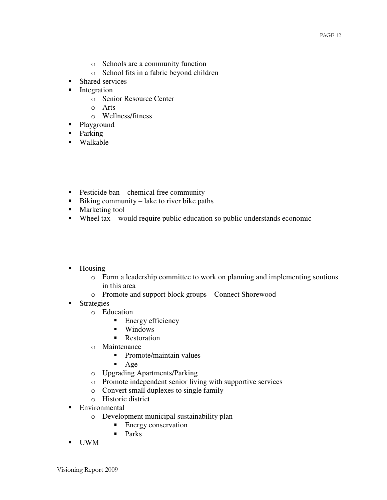- o Schools are a community function
- o School fits in a fabric beyond children
- Shared services
- **Integration** 
	- o Senior Resource Center
	- o Arts
	- o Wellness/fitness
- Playground
- Parking
- Walkable
- **Pesticide ban** chemical free community
- Biking community lake to river bike paths
- **Marketing tool**
- Wheel tax would require public education so public understands economic
- Housing
	- o Form a leadership committee to work on planning and implementing soutions in this area
	- o Promote and support block groups Connect Shorewood
- **Strategies** 
	- o Education
		- $\blacksquare$  Energy efficiency
		- **Windows**
		- **Restoration**
	- o Maintenance
		- Promote/maintain values
		- $\blacksquare$  Age
	- o Upgrading Apartments/Parking
	- o Promote independent senior living with supportive services
	- o Convert small duplexes to single family
	- o Historic district
- **Environmental** 
	- o Development municipal sustainability plan
		- **Energy conservation**
		- $\blacksquare$  Parks
- UWM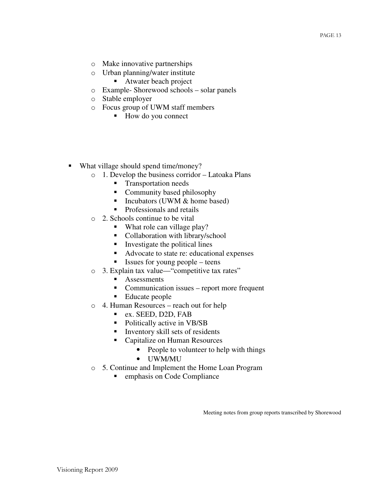- o Make innovative partnerships
- o Urban planning/water institute
	- Atwater beach project
- o Example- Shorewood schools solar panels
- o Stable employer
- o Focus group of UWM staff members
	- How do you connect
- What village should spend time/money?
	- o 1. Develop the business corridor Latoaka Plans
		- **Transportation needs**
		- Community based philosophy
		- Incubators (UWM  $&$  home based)
		- Professionals and retails
	- o 2. Schools continue to be vital
		- What role can village play?
		- Collaboration with library/school
		- **Investigate the political lines**
		- Advocate to state re: educational expenses
		- **Issues for young people** teens
	- o 3. Explain tax value—"competitive tax rates"
		- **Assessments**
		- Communication issues report more frequent
		- Educate people
	- o 4. Human Resources reach out for help
		- ex. SEED, D2D, FAB
		- Politically active in VB/SB
		- Inventory skill sets of residents
		- Capitalize on Human Resources
			- People to volunteer to help with things
			- UWM/MU
	- o 5. Continue and Implement the Home Loan Program
		- **Example 3** emphasis on Code Compliance

Meeting notes from group reports transcribed by Shorewood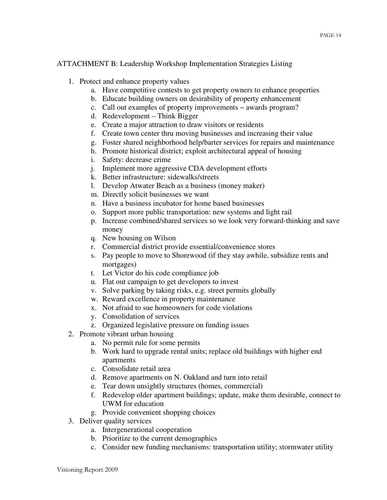#### ATTACHMENT B: Leadership Workshop Implementation Strategies Listing

- 1. Protect and enhance property values
	- a. Have competitive contests to get property owners to enhance properties
	- b. Educate building owners on desirability of property enhancement
	- c. Call out examples of property improvements ~ awards program?
	- d. Redevelopment Think Bigger
	- e. Create a major attraction to draw visitors or residents
	- f. Create town center thru moving businesses and increasing their value
	- g. Foster shared neighborhood help/barter services for repairs and maintenance
	- h. Promote historical district; exploit architectural appeal of housing
	- i. Safety: decrease crime
	- j. Implement more aggressive CDA development efforts
	- k. Better infrastructure: sidewalks/streets
	- l. Develop Atwater Beach as a business (money maker)
	- m. Directly solicit businesses we want
	- n. Have a business incubator for home based businesses
	- o. Support more public transportation: new systems and light rail
	- p. Increase combined/shared services so we look very forward-thinking and save money
	- q. New housing on Wilson
	- r. Commercial district provide essential/convenience stores
	- s. Pay people to move to Shorewood (if they stay awhile, subsidize rents and mortgages)
	- t. Let Victor do his code compliance job
	- u. Flat out campaign to get developers to invest
	- v. Solve parking by taking risks, e.g. street permits globally
	- w. Reward excellence in property maintenance
	- x. Not afraid to sue homeowners for code violations
	- y. Consolidation of services
	- z. Organized legislative pressure on funding issues
- 2. Promote vibrant urban housing
	- a. No permit rule for some permits
	- b. Work hard to upgrade rental units; replace old buildings with higher end apartments
	- c. Consolidate retail area
	- d. Remove apartments on N. Oakland and turn into retail
	- e. Tear down unsightly structures (homes, commercial)
	- f. Redevelop older apartment buildings; update, make them desirable, connect to UWM for education
	- g. Provide convenient shopping choices
- 3. Deliver quality services
	- a. Intergenerational cooperation
	- b. Prioritize to the current demographics
	- c. Consider new funding mechanisms: transportation utility; stormwater utility